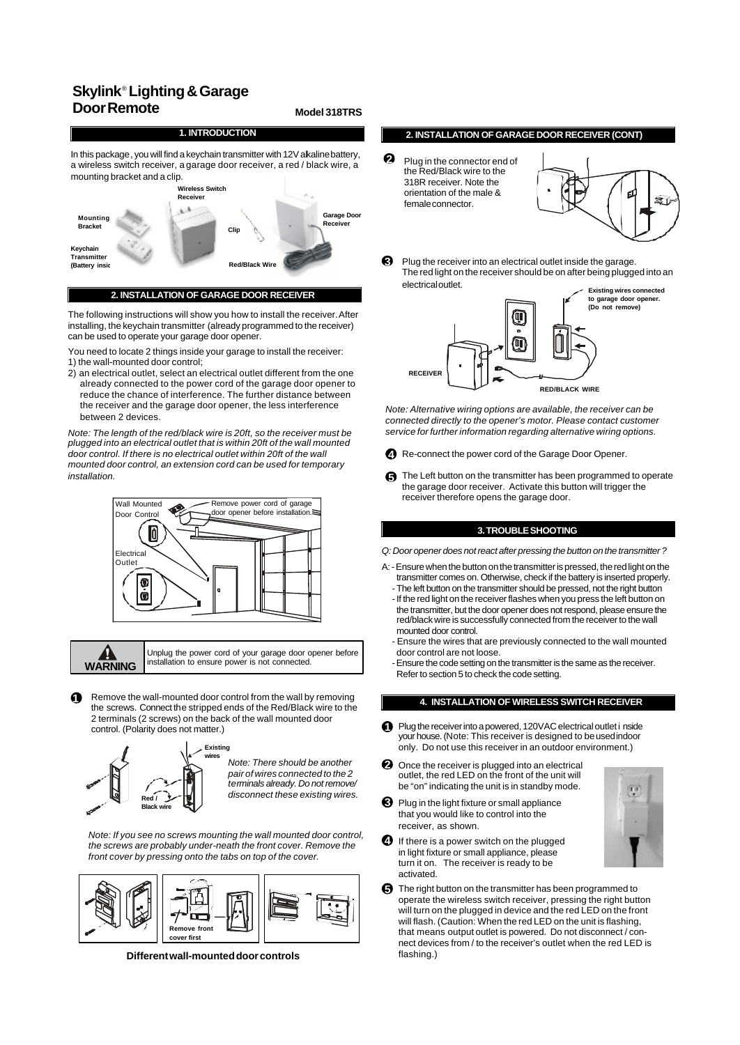## **Skylink**®  **Lighting & Garage Door Remote Model 318TRS**

# **1. INTRODUCTION**

In this package, you will find a keychain transmitter with 12V akaline battery, a wireless switch receiver, a garage door receiver, a red / black wire, a mounting bracket and a clip.



 **2. INSTALLATION OF GARAGE DOOR RECEIVER**

The following instructions will show you how to install the receiver. After installing, the keychain transmitter (already programmed to the receiver) can be used to operate your garage door opener.

You need to locate 2 things inside your garage to install the receiver: 1) the wall-mounted door control;

2) an electrical outlet, select an electrical outlet different from the one already connected to the power cord of the garage door opener to reduce the chance of interference. The further distance between the receiver and the garage door opener, the less interference between 2 devices.

*Note: The length of the red/black wire is 20ft, so the receiver must be plugged into an electrical outlet that is within 20ft of the wall mounted door control. If there is no electrical outlet within 20ft of the wall mounted door control, an extension cord can be used for temporary installation.*



Ą **WARNING**

Unplug the power cord of your garage door opener before installation to ensure power is not connected.

**1** Remove the wall-mounted door control from the wall by removing the screws. Connect the stripped ends of the Red/Black wire to the 2 terminals (2 screws) on the back of the wall mounted door control. (Polarity does not matter.)



*Note: There should be another pair of wires connected to the 2 terminals already. Do not remove/ disconnect these existing wires.*

*Note: If you see no screws mounting the wall mounted door control, the screws are probably under-neath the front cover. Remove the front cover by pressing onto the tabs on top of the cover.*



**Different wall-mounted door controls**

#### **2. INSTALLATION OF GARAGE DOOR RECEIVER (CONT)**

Plug in the connector end of the Red/Black wire to the 318R receiver. Note the orientation of the male & female connector. **2**



Plug the receiver into an electrical outlet inside the garage. The red light on the receiver should be on after being plugged into an electrical outlet. **3**



*Note: Alternative wiring options are available, the receiver can be connected directly to the opener's motor. Please contact customer service for further information regarding alternative wiring options.*

- Re-connect the power cord of the Garage Door Opener. **4**
- The Left button on the transmitter has been programmed to operate **5** the garage door receiver. Activate this button will trigger the receiver therefore opens the garage door.

#### **3. TROUBLE SHOOTING**

*Q: Door opener does not react after pressing the button on the transmitter ?*

- A: Ensure when the button on the transmitter is pressed, the red light on the transmitter comes on. Otherwise, check if the battery is inserted properly.
	- The left button on the transmitter should be pressed, not the right button - If the red light on the receiver flashes when you press the left button on the transmitter, but the door opener does not respond, please ensure the red/black wire is successfully connected from the receiver to the wall mounted door control.
	- Ensure the wires that are previously connected to the wall mounted door control are not loose.
	- Ensure the code setting on the transmitter is the same as the receiver. Refer to section 5 to check the code setting.

#### **4. INSTALLATION OF WIRELESS SWITCH RECEIVER**

- **Plug the receiver into a powered, 120VAC electrical outlet i nside** your house. (Note: This receiver is designed to be used indoor only. Do not use this receiver in an outdoor environment.)
- 2 Once the receiver is plugged into an electrical outlet, the red LED on the front of the unit will be "on" indicating the unit is in standby mode.
- **3** Plug in the light fixture or small appliance that you would like to control into the receiver, as shown.



- If there is a power switch on the plugged in light fixture or small appliance, please turn it on. The receiver is ready to be activated. **4**
- The right button on the transmitter has been programmed to **5** operate the wireless switch receiver, pressing the right button will turn on the plugged in device and the red LED on the front will flash. (Caution: When the red LED on the unit is flashing, that means output outlet is powered. Do not disconnect / connect devices from / to the receiver's outlet when the red LED is flashing.)